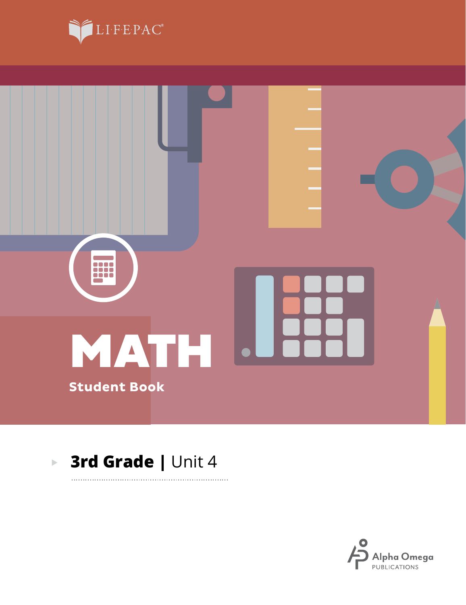



. . . . . . . . . . .

#### **3rd Grade |** Unit 4 $\blacktriangleright$

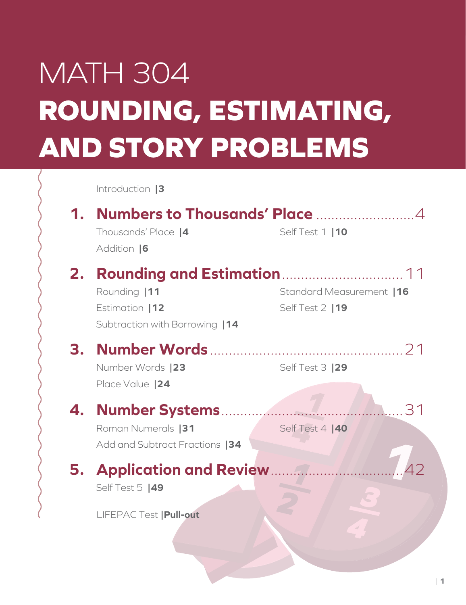# MATH 304 **ROUNDING, ESTIMATING, AND STORY PROBLEMS**

Introduction **|3**

|    | <b>Numbers to Thousands' Place model and A</b>                                                       |                                               |
|----|------------------------------------------------------------------------------------------------------|-----------------------------------------------|
|    | Thousands' Place  4<br>Addition  6                                                                   | Self Test 1   10                              |
| 2. | <b>Rounding and Estimation </b><br>Rounding  11<br>Estimation   12<br>Subtraction with Borrowing  14 | Standard Measurement   16<br>Self Test 2   19 |
| З. | Number Words  23<br>Place Value   24                                                                 | Self Test 3  29                               |
| 4. | Roman Numerals  31<br>Add and Subtract Fractions  34                                                 | 14.31<br>Self Test 4  40                      |
|    | <b>5. Application and Review </b><br>Self Test 5  49                                                 |                                               |
|    | <b>LIFEPAC Test   Pull-out</b>                                                                       |                                               |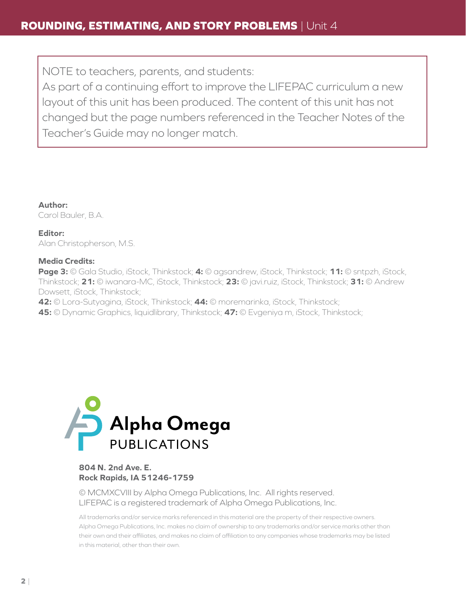NOTE to teachers, parents, and students:

As part of a continuing effort to improve the LIFEPAC curriculum a new layout of this unit has been produced. The content of this unit has not changed but the page numbers referenced in the Teacher Notes of the Teacher's Guide may no longer match.

**Author:** Carol Bauler, B.A.

**Editor:** Alan Christopherson, M.S.

#### **Media Credits:**

**Page 3:** © Gala Studio, iStock, Thinkstock; **4:** © agsandrew, iStock, Thinkstock; **11:** © sntpzh, iStock, Thinkstock; **21:** © iwanara-MC, iStock, Thinkstock; **23:** © javi.ruiz, iStock, Thinkstock; **31:** © Andrew Dowsett, iStock, Thinkstock;

**42:** © Lora-Sutyagina, iStock, Thinkstock; **44:** © moremarinka, iStock, Thinkstock;

**45:** © Dynamic Graphics, liquidlibrary, Thinkstock; **47:** © Evgeniya m, iStock, Thinkstock;



#### **804 N. 2nd Ave. E. Rock Rapids, IA 51246-1759**

© MCMXCVIII by Alpha Omega Publications, Inc. All rights reserved. LIFEPAC is a registered trademark of Alpha Omega Publications, Inc.

All trademarks and/or service marks referenced in this material are the property of their respective owners. Alpha Omega Publications, Inc. makes no claim of ownership to any trademarks and/or service marks other than their own and their affiliates, and makes no claim of affiliation to any companies whose trademarks may be listed in this material, other than their own.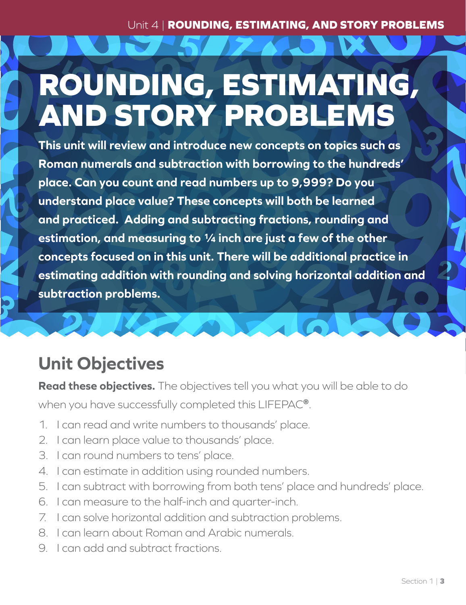Unit 4 | **ROUNDING, ESTIMATING, AND STORY PROBLEMS**

# **ROUNDING, ESTIMATING, AND STORY PROBLEMS**

**This unit will review and introduce new concepts on topics such as Roman numerals and subtraction with borrowing to the hundreds' place. Can you count and read numbers up to 9,999? Do you understand place value? These concepts will both be learned and practiced. Adding and subtracting fractions, rounding and estimation, and measuring to ¼ inch are just a few of the other concepts focused on in this unit. There will be additional practice in estimating addition with rounding and solving horizontal addition and subtraction problems.**

## **Unit Objectives**

**Read these objectives.** The objectives tell you what you will be able to do

when you have successfully completed this LIFEPAC**®**.

- 1. I can read and write numbers to thousands' place.
- 2. I can learn place value to thousands' place.
- 3. I can round numbers to tens' place.
- 4. I can estimate in addition using rounded numbers.
- 5. I can subtract with borrowing from both tens' place and hundreds' place.
- 6. I can measure to the half-inch and quarter-inch.
- 7. I can solve horizontal addition and subtraction problems.
- 8. I can learn about Roman and Arabic numerals.
- 9. I can add and subtract fractions.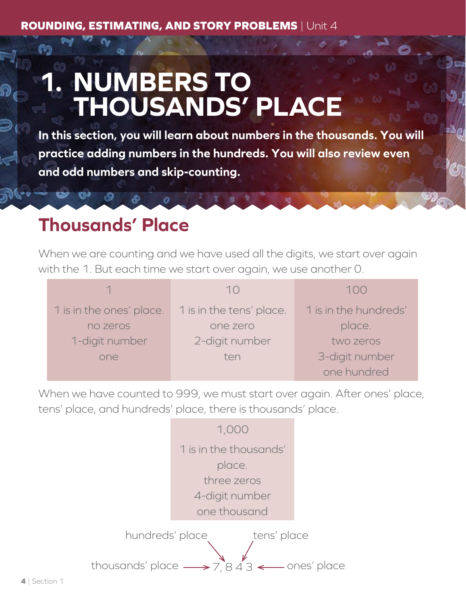## **1. NUMBERS TO THOUSANDS' PLACE**

**In this section, you will learn about numbers in the thousands. You will practice adding numbers in the hundreds. You will also review even and odd numbers and skip-counting.**

### **Thousands' Place**

When we are counting and we have used all the digits, we start over again with the 1. But each time we start over again, we use another 0.

|                          | $\left( \begin{array}{c} \end{array} \right)$ | 1()()                 |
|--------------------------|-----------------------------------------------|-----------------------|
| 1 is in the ones' place. | 1 is in the tens' place.                      | 1 is in the hundreds' |
| no zeros                 | one zero                                      | place.                |
| 1-digit number           | 2-digit number                                | two zeros             |
| one                      | ten                                           | 3-digit number        |
|                          |                                               | one hundred           |

When we have counted to 999, we must start over again. After ones' place, tens' place, and hundreds' place, there is thousands' place.

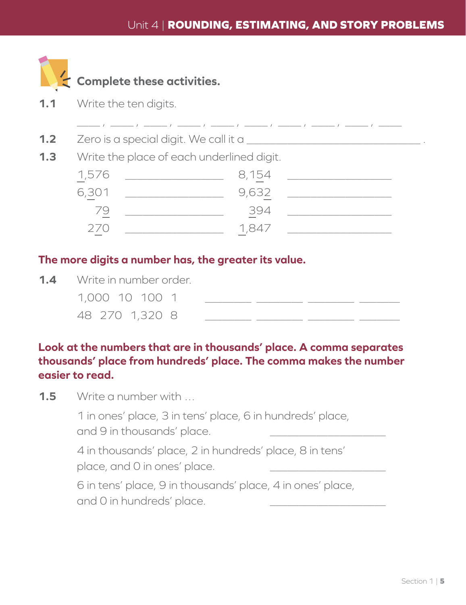\_\_\_\_ , \_\_\_\_ , \_\_\_\_ , \_\_\_\_ , \_\_\_\_ , \_\_\_\_ , \_\_\_\_ , \_\_\_\_ , \_\_\_\_ , \_\_\_\_



#### **Complete these activities.**

- **1.1** Write the ten digits.
- **1.2**  $\quad$  Zero is a special digit. We call it a
- **1.3** Write the place of each underlined digit.

| 1,576 | 8,154 |  |
|-------|-------|--|
| 6,301 | 9,632 |  |
| 79    | 394   |  |
| 270   | 1,847 |  |

#### **The more digits a number has, the greater its value.**

**1.4** Write in number order. 1,000 10 100 1 \_\_\_\_\_\_\_\_ \_\_\_\_\_\_\_\_ \_\_\_\_\_\_\_\_ \_\_\_\_\_\_\_ 48 270 1,320 8 \_\_\_\_\_\_\_\_ \_\_\_\_\_\_\_\_ \_\_\_\_\_\_\_\_ \_\_\_\_\_\_\_

#### **Look at the numbers that are in thousands' place. A comma separates thousands' place from hundreds' place. The comma makes the number easier to read.**

**1.5** Write a number with …

1 in ones' place, 3 in tens' place, 6 in hundreds' place, and 9 in thousands' place.

4 in thousands' place, 2 in hundreds' place, 8 in tens' place, and 0 in ones' place.

6 in tens' place, 9 in thousands' place, 4 in ones' place, and 0 in hundreds' place.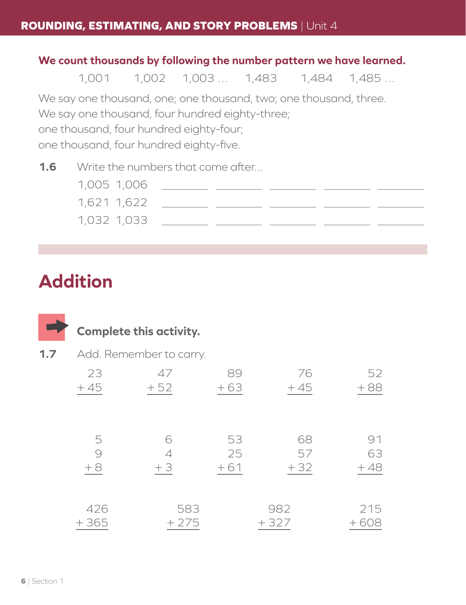#### **We count thousands by following the number pattern we have learned.**

1,001 1,002 1,003 … 1,483 1,484 1,485 …

We say one thousand, one; one thousand, two; one thousand, three.

We say one thousand, four hundred eighty-three;

one thousand, four hundred eighty-four;

one thousand, four hundred eighty-five.

**1.6** Write the numbers that come after...

| 1,005 1,006 |  |  |  |
|-------------|--|--|--|
| 1,621 1,622 |  |  |  |
| 1,032 1,033 |  |  |  |

### **Addition**

|     |                | <b>Complete this activity.</b> |                   |                   |                   |
|-----|----------------|--------------------------------|-------------------|-------------------|-------------------|
| 1.7 |                | Add. Remember to carry.        |                   |                   |                   |
|     | 23<br>$+45$    | 47<br>$+52$                    | 89<br>$+63$       | 76<br>$+45$       | 52<br>$+88$       |
|     | 5<br>9<br>$+8$ | 6<br>4<br>$+3$                 | 53<br>25<br>$+61$ | 68<br>57<br>$+32$ | 91<br>63<br>$+48$ |
|     | 426<br>$+365$  | 583<br>$+275$                  |                   | 982<br>$+327$     | 215<br>$+608$     |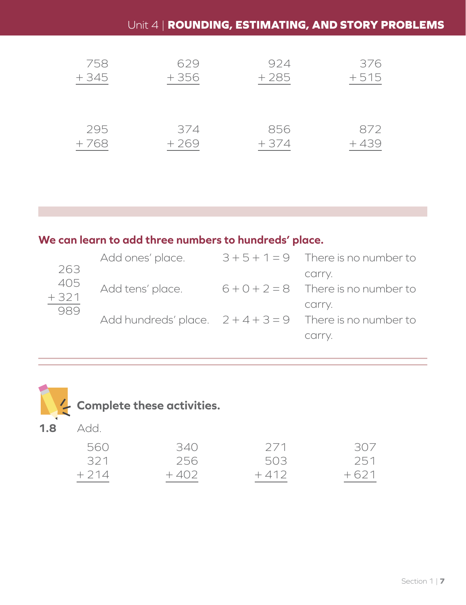#### Unit 4 | **ROUNDING, ESTIMATING, AND STORY PROBLEMS**

| 758    | 629    | 924    | 376    |
|--------|--------|--------|--------|
| $+345$ | $+356$ | $+285$ | $+515$ |
| 295    | 374    | 856    | 872    |
| $+768$ | $+269$ | $+374$ | $+439$ |

#### **We can learn to add three numbers to hundreds' place.**

|               | Add ones' place. | $3+5+1=9$ There is no number to                            |
|---------------|------------------|------------------------------------------------------------|
| 263           |                  | carry.                                                     |
| $405$<br>+321 | Add tens' place. | $6 + 0 + 2 = 8$ There is no number to                      |
| 989           |                  | carry.                                                     |
|               |                  | Add hundreds' place. $2 + 4 + 3 = 9$ There is no number to |
|               |                  | carry.                                                     |



| 560    | 340.   | 271    | 307    |
|--------|--------|--------|--------|
| 321    | 256    | 503    | 251    |
| $+214$ | $+402$ | $+412$ | $+621$ |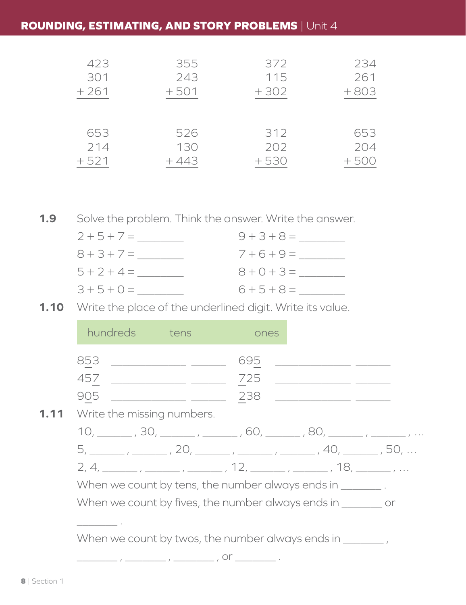#### **ROUNDING, ESTIMATING, AND STORY PROBLEMS** | Unit 4

| 423    | 355    | 372    | 234    |
|--------|--------|--------|--------|
| 301    | 243    | 115    | 261    |
| $+261$ | $+501$ | $+302$ | $+803$ |
| 653    | 526    | 312    | 653    |
| 214    | 130    | 202    | 204    |
| $+521$ | $+443$ | $+530$ | $+500$ |

**1.9** Solve the problem. Think the answer. Write the answer.

| $2 + 5 + 7 =$ | $9 + 3 + 8 =$ |
|---------------|---------------|
| $8 + 3 + 7 =$ | $7+6+9=$      |
| $5 + 2 + 4 =$ | $8 + 0 + 3 =$ |
| $3 + 5 + 0 =$ | $6 + 5 + 8 =$ |

**1.10** Write the place of the underlined digit. Write its value.

|      | hundreds tens                                                                                             | ones |                                                 |  |
|------|-----------------------------------------------------------------------------------------------------------|------|-------------------------------------------------|--|
|      |                                                                                                           | 695  | <u> 1980 - Andrea Amerikaanse kommunister (</u> |  |
|      | 457 _______________ ______                                                                                | 725  |                                                 |  |
|      |                                                                                                           | 238  |                                                 |  |
| 1.11 | Write the missing numbers.                                                                                |      |                                                 |  |
|      | 10, ________, 30, _______, ______, 60, ______, 80, ______, ______,                                        |      |                                                 |  |
|      | 5, ________ , _______ , 20, ______ , ______ , ______ , 40, ______ , 50,                                   |      |                                                 |  |
|      | $2, 4, \_\_\_\_\_\_$ , $\_\_\_\_\_\_$ , $\_\_\_\_\_$ , $12, \_\_\_\_\_\_$ , $\_\_\_\_$ , $18, \_\_\_\_\_$ |      |                                                 |  |
|      | When we count by tens, the number always ends in _________.                                               |      |                                                 |  |
|      | When we count by fives, the number always ends in _________ or                                            |      |                                                 |  |
|      |                                                                                                           |      |                                                 |  |
|      | When we count by twos, the number always ends in ________,                                                |      |                                                 |  |
|      |                                                                                                           |      |                                                 |  |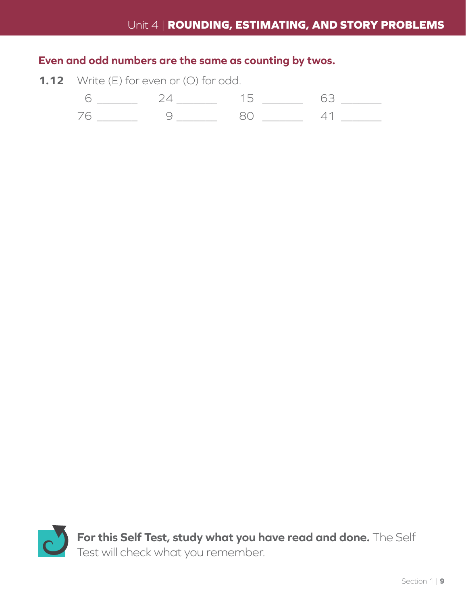#### **Even and odd numbers are the same as counting by twos.**

**1.12** Write (E) for even or (O) for odd.



**For this Self Test, study what you have read and done.** The Self Test will check what you remember.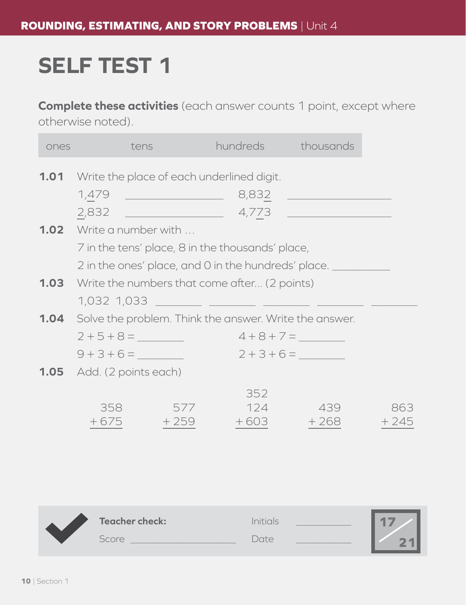## **SELF TEST 1**

**Complete these activities** (each answer counts 1 point, except where otherwise noted).

| ones | tens                             |        |                                                                    | hundreds thousands |        |
|------|----------------------------------|--------|--------------------------------------------------------------------|--------------------|--------|
|      |                                  |        | <b>1.01</b> Write the place of each underlined digit.              |                    |        |
|      |                                  |        |                                                                    |                    |        |
|      |                                  |        |                                                                    |                    |        |
|      | <b>1.02</b> Write a number with  |        |                                                                    |                    |        |
|      |                                  |        | 7 in the tens' place, 8 in the thousands' place,                   |                    |        |
|      |                                  |        | 2 in the ones' place, and 0 in the hundreds' place.                |                    |        |
|      |                                  |        | <b>1.03</b> Write the numbers that come after (2 points)           |                    |        |
|      | 1,032 1,033                      |        | <u> 1990 - Jan Barnett, fransk politik (</u>                       |                    |        |
|      |                                  |        | <b>1.04</b> Solve the problem. Think the answer. Write the answer. |                    |        |
|      |                                  |        |                                                                    | $4+8+7=$           |        |
|      | $9 + 3 + 6 =$                    |        | $2+3+6=$                                                           |                    |        |
|      | <b>1.05</b> Add. (2 points each) |        |                                                                    |                    |        |
|      |                                  |        | 352                                                                |                    |        |
|      | 358                              | 577    | 124                                                                | 439                | 863    |
|      | $+675$                           | $+259$ | $+603$                                                             | $+268$             | $+245$ |
|      |                                  |        |                                                                    |                    |        |